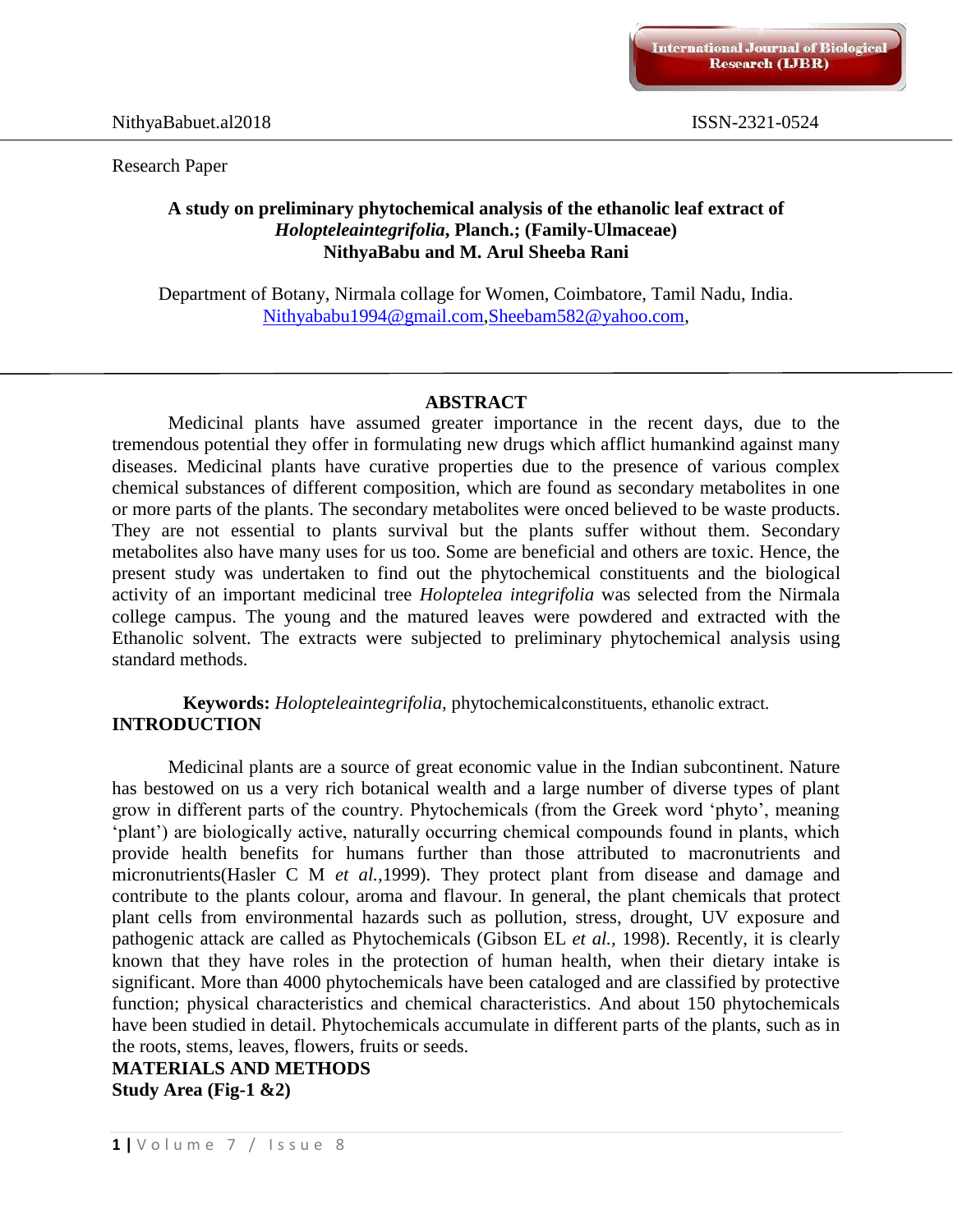#### Research Paper

#### **A study on preliminary phytochemical analysis of the ethanolic leaf extract of**  *Holopteleaintegrifolia***, Planch.; (Family-Ulmaceae) NithyaBabu and M. Arul Sheeba Rani**

Department of Botany, Nirmala collage for Women, Coimbatore, Tamil Nadu, India. [Nithyababu1994@gmail.com,](mailto:Nithyababu1994@gmail.com)[Sheebam582@yahoo.com,](mailto:Sheebam582@yahoo.com)

#### **ABSTRACT**

Medicinal plants have assumed greater importance in the recent days, due to the tremendous potential they offer in formulating new drugs which afflict humankind against many diseases. Medicinal plants have curative properties due to the presence of various complex chemical substances of different composition, which are found as secondary metabolites in one or more parts of the plants. The secondary metabolites were onced believed to be waste products. They are not essential to plants survival but the plants suffer without them. Secondary metabolites also have many uses for us too. Some are beneficial and others are toxic. Hence, the present study was undertaken to find out the phytochemical constituents and the biological activity of an important medicinal tree *Holoptelea integrifolia* was selected from the Nirmala college campus. The young and the matured leaves were powdered and extracted with the Ethanolic solvent. The extracts were subjected to preliminary phytochemical analysis using standard methods.

#### **Keywords:** *Holopteleaintegrifolia,* phytochemicalconstituents, ethanolic extract. **INTRODUCTION**

Medicinal plants are a source of great economic value in the Indian subcontinent. Nature has bestowed on us a very rich botanical wealth and a large number of diverse types of plant grow in different parts of the country. Phytochemicals (from the Greek word 'phyto', meaning 'plant') are biologically active, naturally occurring chemical compounds found in plants, which provide health benefits for humans further than those attributed to macronutrients and micronutrients(Hasler C M *et al.,*1999). They protect plant from disease and damage and contribute to the plants colour, aroma and flavour. In general, the plant chemicals that protect plant cells from environmental hazards such as pollution, stress, drought, UV exposure and pathogenic attack are called as Phytochemicals (Gibson EL *et al.,* 1998). Recently, it is clearly known that they have roles in the protection of human health, when their dietary intake is significant. More than 4000 phytochemicals have been cataloged and are classified by protective function; physical characteristics and chemical characteristics. And about 150 phytochemicals have been studied in detail. Phytochemicals accumulate in different parts of the plants, such as in the roots, stems, leaves, flowers, fruits or seeds.

# **MATERIALS AND METHODS Study Area (Fig-1 &2)**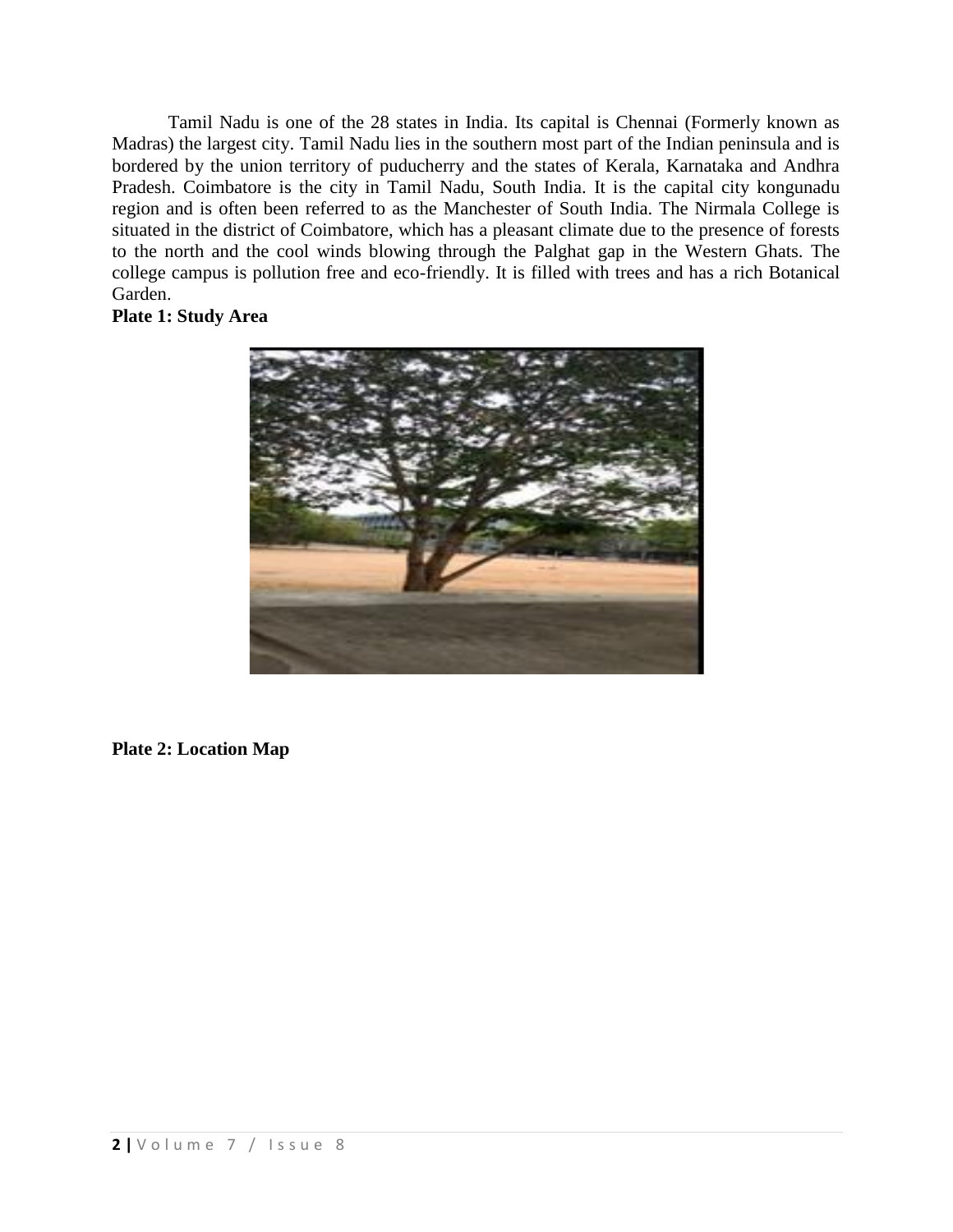Tamil Nadu is one of the 28 states in India. Its capital is Chennai (Formerly known as Madras) the largest city. Tamil Nadu lies in the southern most part of the Indian peninsula and is bordered by the union territory of puducherry and the states of Kerala, Karnataka and Andhra Pradesh. Coimbatore is the city in Tamil Nadu, South India. It is the capital city kongunadu region and is often been referred to as the Manchester of South India. The Nirmala College is situated in the district of Coimbatore, which has a pleasant climate due to the presence of forests to the north and the cool winds blowing through the Palghat gap in the Western Ghats. The college campus is pollution free and eco-friendly. It is filled with trees and has a rich Botanical Garden.

### **Plate 1: Study Area**



# **Plate 2: Location Map**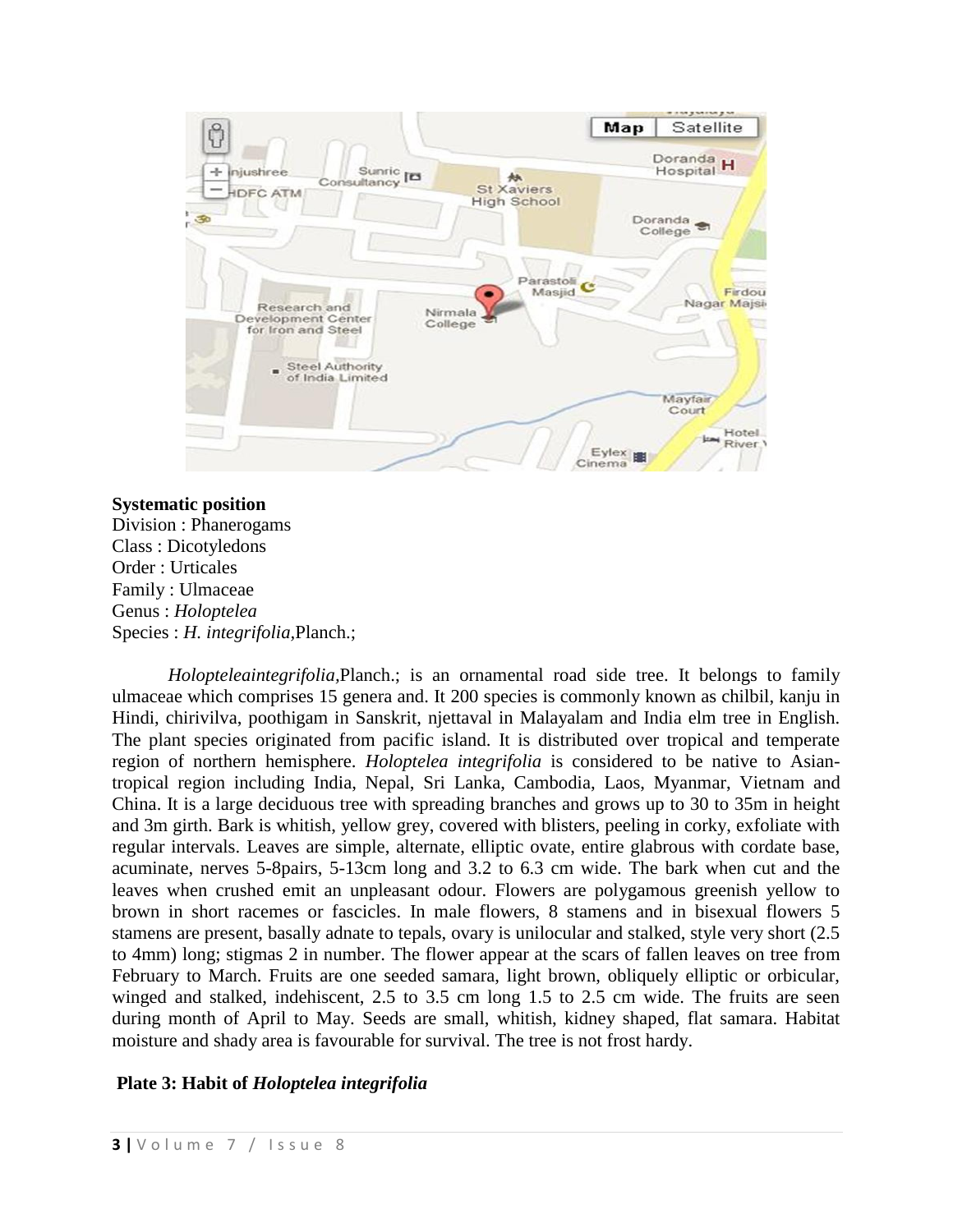

#### **Systematic position**

Division : Phanerogams Class : Dicotyledons Order : Urticales Family : Ulmaceae Genus : *Holoptelea*  Species : *H. integrifolia,*Planch.;

*Holopteleaintegrifolia,*Planch.; is an ornamental road side tree. It belongs to family ulmaceae which comprises 15 genera and. It 200 species is commonly known as chilbil, kanju in Hindi, chirivilva, poothigam in Sanskrit, njettaval in Malayalam and India elm tree in English. The plant species originated from pacific island. It is distributed over tropical and temperate region of northern hemisphere. *Holoptelea integrifolia* is considered to be native to Asiantropical region including India, Nepal, Sri Lanka, Cambodia, Laos, Myanmar, Vietnam and China. It is a large deciduous tree with spreading branches and grows up to 30 to 35m in height and 3m girth. Bark is whitish, yellow grey, covered with blisters, peeling in corky, exfoliate with regular intervals. Leaves are simple, alternate, elliptic ovate, entire glabrous with cordate base, acuminate, nerves 5-8pairs, 5-13cm long and 3.2 to 6.3 cm wide. The bark when cut and the leaves when crushed emit an unpleasant odour. Flowers are polygamous greenish yellow to brown in short racemes or fascicles. In male flowers, 8 stamens and in bisexual flowers 5 stamens are present, basally adnate to tepals, ovary is unilocular and stalked, style very short (2.5 to 4mm) long; stigmas 2 in number. The flower appear at the scars of fallen leaves on tree from February to March. Fruits are one seeded samara, light brown, obliquely elliptic or orbicular, winged and stalked, indehiscent, 2.5 to 3.5 cm long 1.5 to 2.5 cm wide. The fruits are seen during month of April to May. Seeds are small, whitish, kidney shaped, flat samara. Habitat moisture and shady area is favourable for survival. The tree is not frost hardy.

# **Plate 3: Habit of** *Holoptelea integrifolia*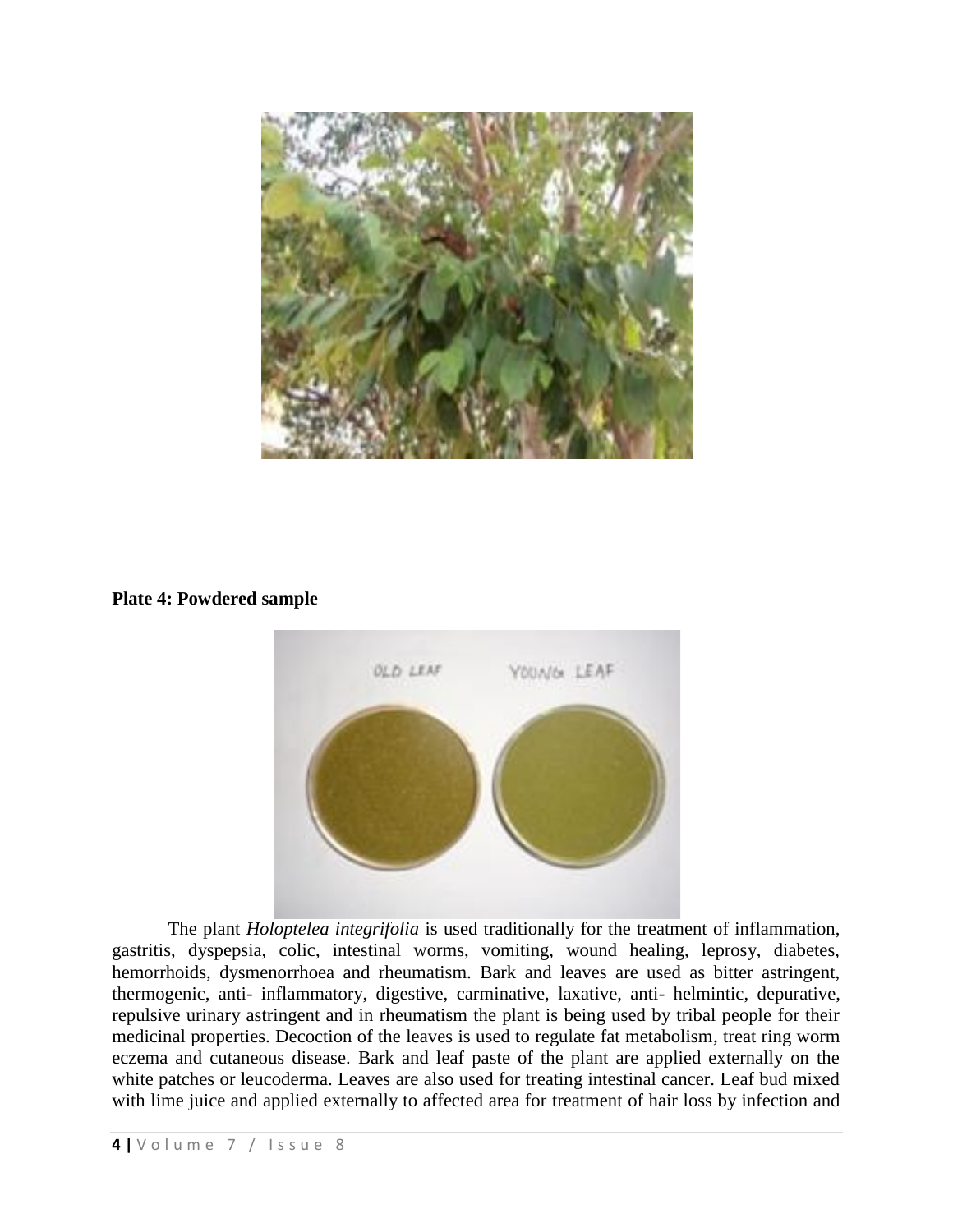

**Plate 4: Powdered sample**



The plant *Holoptelea integrifolia* is used traditionally for the treatment of inflammation, gastritis, dyspepsia, colic, intestinal worms, vomiting, wound healing, leprosy, diabetes, hemorrhoids, dysmenorrhoea and rheumatism. Bark and leaves are used as bitter astringent, thermogenic, anti- inflammatory, digestive, carminative, laxative, anti- helmintic, depurative, repulsive urinary astringent and in rheumatism the plant is being used by tribal people for their medicinal properties. Decoction of the leaves is used to regulate fat metabolism, treat ring worm eczema and cutaneous disease. Bark and leaf paste of the plant are applied externally on the white patches or leucoderma. Leaves are also used for treating intestinal cancer. Leaf bud mixed with lime juice and applied externally to affected area for treatment of hair loss by infection and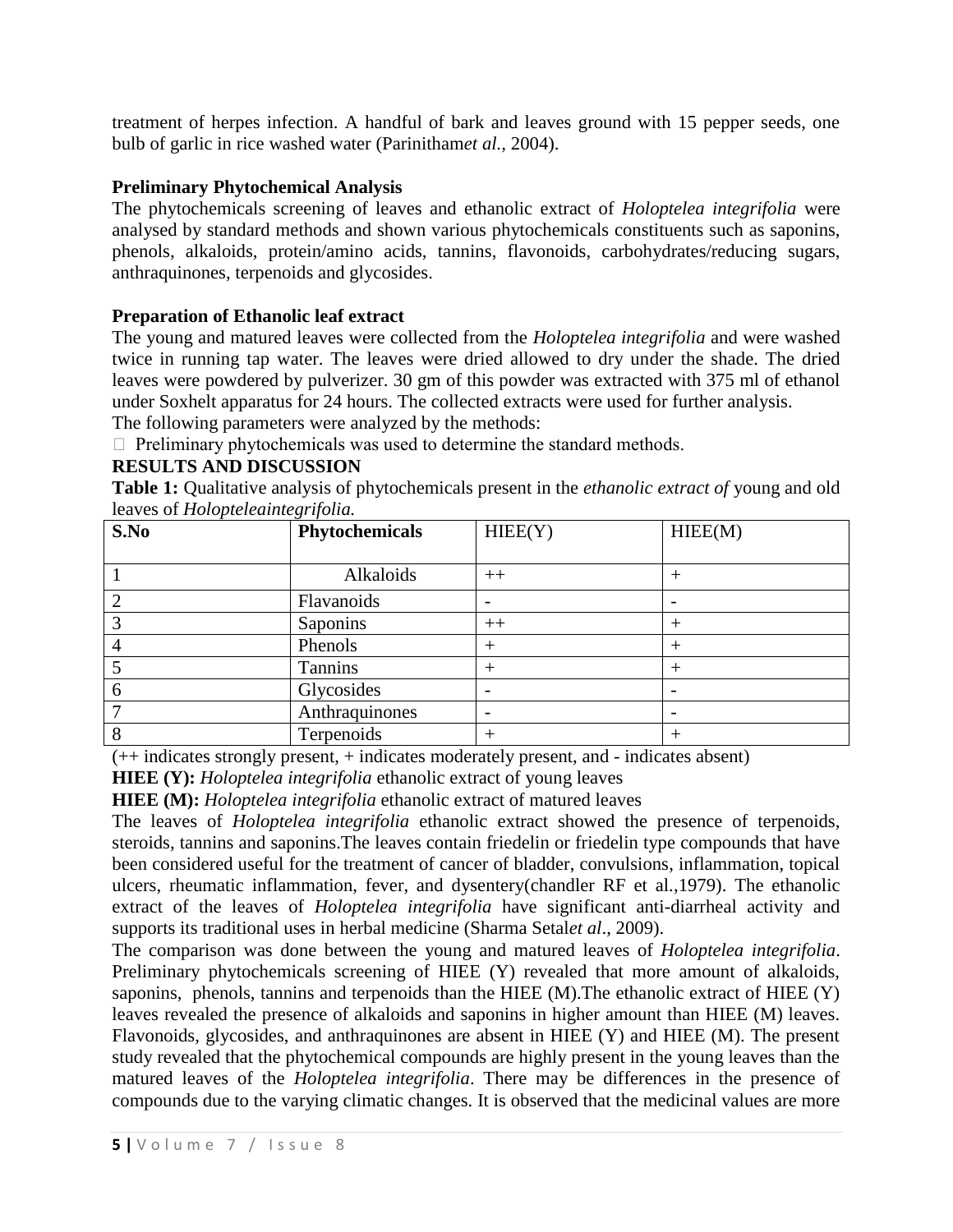treatment of herpes infection. A handful of bark and leaves ground with 15 pepper seeds, one bulb of garlic in rice washed water (Parinitham*et al.,* 2004).

# **Preliminary Phytochemical Analysis**

The phytochemicals screening of leaves and ethanolic extract of *Holoptelea integrifolia* were analysed by standard methods and shown various phytochemicals constituents such as saponins, phenols, alkaloids, protein/amino acids, tannins, flavonoids, carbohydrates/reducing sugars, anthraquinones, terpenoids and glycosides.

### **Preparation of Ethanolic leaf extract**

The young and matured leaves were collected from the *Holoptelea integrifolia* and were washed twice in running tap water. The leaves were dried allowed to dry under the shade. The dried leaves were powdered by pulverizer. 30 gm of this powder was extracted with 375 ml of ethanol under Soxhelt apparatus for 24 hours. The collected extracts were used for further analysis.

The following parameters were analyzed by the methods:

 $\Box$  Preliminary phytochemicals was used to determine the standard methods.

# **RESULTS AND DISCUSSION**

**Table 1:** Qualitative analysis of phytochemicals present in the *ethanolic extract of* young and old leaves of *Holopteleaintegrifolia.*

| S.No | <u>-</u><br>Phytochemicals | HIEE(Y)                  | HIEE(M) |
|------|----------------------------|--------------------------|---------|
|      |                            |                          |         |
|      | Alkaloids                  | $++$                     |         |
|      | Flavanoids                 |                          |         |
|      | Saponins                   | $++$                     |         |
|      | Phenols                    | $\pm$                    | ┿       |
|      | Tannins                    | $^{+}$                   |         |
| n    | Glycosides                 | $\overline{\phantom{a}}$ |         |
|      | Anthraquinones             | $\overline{\phantom{a}}$ |         |
|      | Terpenoids                 | $^{+}$                   |         |

(++ indicates strongly present, + indicates moderately present, and - indicates absent)

**HIEE (Y):** *Holoptelea integrifolia* ethanolic extract of young leaves

**HIEE (M):** *Holoptelea integrifolia* ethanolic extract of matured leaves

The leaves of *Holoptelea integrifolia* ethanolic extract showed the presence of terpenoids, steroids, tannins and saponins.The leaves contain friedelin or friedelin type compounds that have been considered useful for the treatment of cancer of bladder, convulsions, inflammation, topical ulcers, rheumatic inflammation, fever, and dysentery(chandler RF et al.,1979). The ethanolic extract of the leaves of *Holoptelea integrifolia* have significant anti-diarrheal activity and supports its traditional uses in herbal medicine (Sharma Setal*et al*., 2009).

The comparison was done between the young and matured leaves of *Holoptelea integrifolia*. Preliminary phytochemicals screening of HIEE (Y) revealed that more amount of alkaloids, saponins, phenols, tannins and terpenoids than the HIEE (M).The ethanolic extract of HIEE (Y) leaves revealed the presence of alkaloids and saponins in higher amount than HIEE (M) leaves. Flavonoids, glycosides, and anthraquinones are absent in HIEE (Y) and HIEE (M). The present study revealed that the phytochemical compounds are highly present in the young leaves than the matured leaves of the *Holoptelea integrifolia*. There may be differences in the presence of compounds due to the varying climatic changes. It is observed that the medicinal values are more